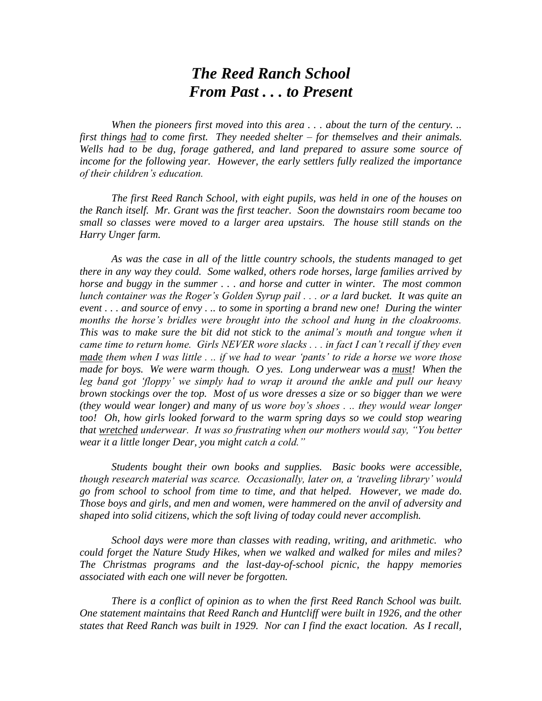## *The Reed Ranch School From Past . . . to Present*

*When the pioneers first moved into this area . . . about the turn of the century. .. first things had to come first. They needed shelter – for themselves and their animals. Wells had to be dug, forage gathered, and land prepared to assure some source of income for the following year. However, the early settlers fully realized the importance of their children"s education.*

*The first Reed Ranch School, with eight pupils, was held in one of the houses on the Ranch itself. Mr. Grant was the first teacher. Soon the downstairs room became too small so classes were moved to a larger area upstairs. The house still stands on the Harry Unger farm.*

*As was the case in all of the little country schools, the students managed to get there in any way they could. Some walked, others rode horses, large families arrived by horse and buggy in the summer . . . and horse and cutter in winter. The most common lunch container was the Roger"s Golden Syrup pail . . . or a lard bucket. It was quite an event . . . and source of envy . .. to some in sporting a brand new one! During the winter months the horse"s bridles were brought into the school and hung in the cloakrooms. This was to make sure the bit did not stick to the animal"s mouth and tongue when it came time to return home. Girls NEVER wore slacks . . . in fact I can"t recall if they even made them when I was little . .. if we had to wear "pants" to ride a horse we wore those made for boys. We were warm though. O yes. Long underwear was a must! When the leg band got "floppy" we simply had to wrap it around the ankle and pull our heavy brown stockings over the top. Most of us wore dresses a size or so bigger than we were (they would wear longer) and many of us wore boy"s shoes . .. they would wear longer*  too! Oh, how girls looked forward to the warm spring days so we could stop wearing *that wretched underwear. It was so frustrating when our mothers would say, "You better wear it a little longer Dear, you might catch a cold."*

*Students bought their own books and supplies. Basic books were accessible, though research material was scarce. Occasionally, later on, a "traveling library" would go from school to school from time to time, and that helped. However, we made do. Those boys and girls, and men and women, were hammered on the anvil of adversity and shaped into solid citizens, which the soft living of today could never accomplish.*

*School days were more than classes with reading, writing, and arithmetic. who could forget the Nature Study Hikes, when we walked and walked for miles and miles? The Christmas programs and the last-day-of-school picnic, the happy memories associated with each one will never be forgotten.*

*There is a conflict of opinion as to when the first Reed Ranch School was built. One statement maintains that Reed Ranch and Huntcliff were built in 1926, and the other states that Reed Ranch was built in 1929. Nor can I find the exact location. As I recall,*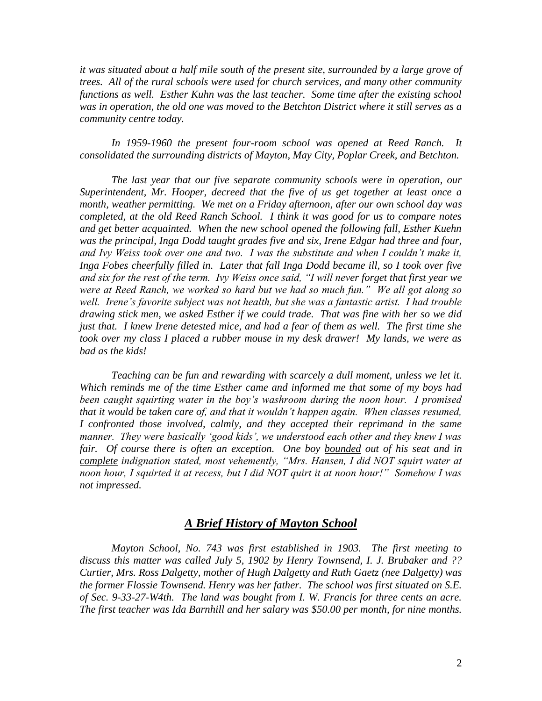*it was situated about a half mile south of the present site, surrounded by a large grove of trees. All of the rural schools were used for church services, and many other community functions as well. Esther Kuhn was the last teacher. Some time after the existing school was in operation, the old one was moved to the Betchton District where it still serves as a community centre today.*

*In 1959-1960 the present four-room school was opened at Reed Ranch. It consolidated the surrounding districts of Mayton, May City, Poplar Creek, and Betchton.*

*The last year that our five separate community schools were in operation, our Superintendent, Mr. Hooper, decreed that the five of us get together at least once a month, weather permitting. We met on a Friday afternoon, after our own school day was completed, at the old Reed Ranch School. I think it was good for us to compare notes and get better acquainted. When the new school opened the following fall, Esther Kuehn was the principal, Inga Dodd taught grades five and six, Irene Edgar had three and four, and Ivy Weiss took over one and two. I was the substitute and when I couldn"t make it, Inga Fobes cheerfully filled in. Later that fall Inga Dodd became ill, so I took over five and six for the rest of the term. Ivy Weiss once said, "I will never forget that first year we were at Reed Ranch, we worked so hard but we had so much fun." We all got along so well. Irene"s favorite subject was not health, but she was a fantastic artist. I had trouble drawing stick men, we asked Esther if we could trade. That was fine with her so we did just that. I knew Irene detested mice, and had a fear of them as well. The first time she took over my class I placed a rubber mouse in my desk drawer! My lands, we were as bad as the kids!*

*Teaching can be fun and rewarding with scarcely a dull moment, unless we let it. Which reminds me of the time Esther came and informed me that some of my boys had been caught squirting water in the boy"s washroom during the noon hour. I promised that it would be taken care of, and that it wouldn"t happen again. When classes resumed, I confronted those involved, calmly, and they accepted their reprimand in the same manner. They were basically "good kids", we understood each other and they knew I was fair. Of course there is often an exception. One boy bounded out of his seat and in complete indignation stated, most vehemently, "Mrs. Hansen, I did NOT squirt water at noon hour, I squirted it at recess, but I did NOT quirt it at noon hour!" Somehow I was not impressed.*

## *A Brief History of Mayton School*

*Mayton School, No. 743 was first established in 1903. The first meeting to discuss this matter was called July 5, 1902 by Henry Townsend, I. J. Brubaker and ?? Curtier, Mrs. Ross Dalgetty, mother of Hugh Dalgetty and Ruth Gaetz (nee Dalgetty) was the former Flossie Townsend. Henry was her father. The school was first situated on S.E. of Sec. 9-33-27-W4th. The land was bought from I. W. Francis for three cents an acre. The first teacher was Ida Barnhill and her salary was \$50.00 per month, for nine months.*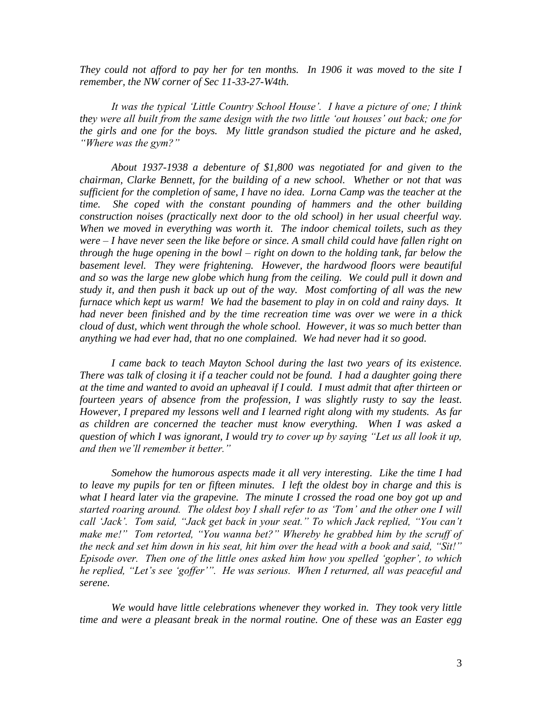*They could not afford to pay her for ten months. In 1906 it was moved to the site I remember, the NW corner of Sec 11-33-27-W4th.*

*It was the typical "Little Country School House". I have a picture of one; I think they were all built from the same design with the two little "out houses" out back; one for the girls and one for the boys. My little grandson studied the picture and he asked, "Where was the gym?"*

*About 1937-1938 a debenture of \$1,800 was negotiated for and given to the chairman, Clarke Bennett, for the building of a new school. Whether or not that was sufficient for the completion of same, I have no idea. Lorna Camp was the teacher at the time. She coped with the constant pounding of hammers and the other building construction noises (practically next door to the old school) in her usual cheerful way. When we moved in everything was worth it. The indoor chemical toilets, such as they were – I have never seen the like before or since. A small child could have fallen right on through the huge opening in the bowl – right on down to the holding tank, far below the*  basement level. They were frightening. However, the hardwood floors were beautiful *and so was the large new globe which hung from the ceiling. We could pull it down and study it, and then push it back up out of the way. Most comforting of all was the new furnace which kept us warm! We had the basement to play in on cold and rainy days. It had never been finished and by the time recreation time was over we were in a thick cloud of dust, which went through the whole school. However, it was so much better than anything we had ever had, that no one complained. We had never had it so good.*

*I came back to teach Mayton School during the last two years of its existence. There was talk of closing it if a teacher could not be found. I had a daughter going there at the time and wanted to avoid an upheaval if I could. I must admit that after thirteen or fourteen years of absence from the profession, I was slightly rusty to say the least. However, I prepared my lessons well and I learned right along with my students. As far as children are concerned the teacher must know everything. When I was asked a question of which I was ignorant, I would try to cover up by saying "Let us all look it up, and then we"ll remember it better."*

*Somehow the humorous aspects made it all very interesting. Like the time I had to leave my pupils for ten or fifteen minutes. I left the oldest boy in charge and this is what I heard later via the grapevine. The minute I crossed the road one boy got up and started roaring around. The oldest boy I shall refer to as "Tom" and the other one I will call "Jack". Tom said, "Jack get back in your seat." To which Jack replied, "You can"t*  make me!" Tom retorted, "You wanna bet?" Whereby he grabbed him by the scruff of *the neck and set him down in his seat, hit him over the head with a book and said, "Sit!" Episode over. Then one of the little ones asked him how you spelled "gopher", to which he replied, "Let"s see "goffer"". He was serious. When I returned, all was peaceful and serene.*

*We would have little celebrations whenever they worked in. They took very little time and were a pleasant break in the normal routine. One of these was an Easter egg*